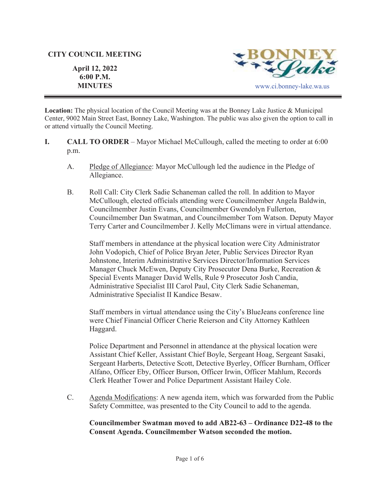#### **CITY COUNCIL MEETING**

**April 12, 2022 6:00 P.M.**



**Location:** The physical location of the Council Meeting was at the Bonney Lake Justice & Municipal Center, 9002 Main Street East, Bonney Lake, Washington. The public was also given the option to call in or attend virtually the Council Meeting.

- **I.** CALL TO ORDER Mayor Michael McCullough, called the meeting to order at 6:00 p.m.
	- A. Pledge of Allegiance: Mayor McCullough led the audience in the Pledge of Allegiance.
	- B. Roll Call: City Clerk Sadie Schaneman called the roll. In addition to Mayor McCullough, elected officials attending were Councilmember Angela Baldwin, Councilmember Justin Evans, Councilmember Gwendolyn Fullerton, Councilmember Dan Swatman, and Councilmember Tom Watson. Deputy Mayor Terry Carter and Councilmember J. Kelly McClimans were in virtual attendance.

Staff members in attendance at the physical location were City Administrator John Vodopich, Chief of Police Bryan Jeter, Public Services Director Ryan Johnstone, Interim Administrative Services Director/Information Services Manager Chuck McEwen, Deputy City Prosecutor Dena Burke, Recreation & Special Events Manager David Wells, Rule 9 Prosecutor Josh Candia, Administrative Specialist III Carol Paul, City Clerk Sadie Schaneman, Administrative Specialist II Kandice Besaw.

Staff members in virtual attendance using the City's BlueJeans conference line were Chief Financial Officer Cherie Reierson and City Attorney Kathleen Haggard.

Police Department and Personnel in attendance at the physical location were Assistant Chief Keller, Assistant Chief Boyle, Sergeant Hoag, Sergeant Sasaki, Sergeant Harberts, Detective Scott, Detective Byerley, Officer Burnham, Officer Alfano, Officer Eby, Officer Burson, Officer Irwin, Officer Mahlum, Records Clerk Heather Tower and Police Department Assistant Hailey Cole.

C. Agenda Modifications: A new agenda item, which was forwarded from the Public Safety Committee, was presented to the City Council to add to the agenda.

## **Councilmember Swatman moved to add AB22-63 – Ordinance D22-48 to the Consent Agenda. Councilmember Watson seconded the motion.**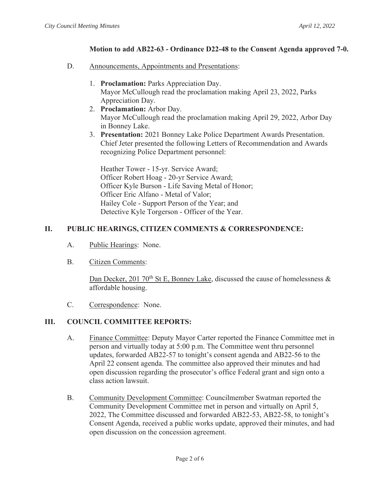## **Motion to add AB22-63 - Ordinance D22-48 to the Consent Agenda approved 7-0.**

- D. Announcements, Appointments and Presentations:
	- 1. **Proclamation:** Parks Appreciation Day. Mayor McCullough read the proclamation making April 23, 2022, Parks Appreciation Day.
	- 2. **Proclamation:** Arbor Day. Mayor McCullough read the proclamation making April 29, 2022, Arbor Day in Bonney Lake.
	- 3. **Presentation:** 2021 Bonney Lake Police Department Awards Presentation. Chief Jeter presented the following Letters of Recommendation and Awards recognizing Police Department personnel:

Heather Tower - 15-yr. Service Award; Officer Robert Hoag - 20-yr Service Award; Officer Kyle Burson - Life Saving Metal of Honor; Officer Eric Alfano - Metal of Valor; Hailey Cole - Support Person of the Year; and Detective Kyle Torgerson - Officer of the Year.

#### **II. PUBLIC HEARINGS, CITIZEN COMMENTS & CORRESPONDENCE:**

- A. Public Hearings: None.
- B. Citizen Comments:

Dan Decker, 201  $70<sup>th</sup>$  St E, Bonney Lake, discussed the cause of homelessness  $\&$ affordable housing.

C. Correspondence: None.

## **III. COUNCIL COMMITTEE REPORTS:**

- A. Finance Committee: Deputy Mayor Carter reported the Finance Committee met in person and virtually today at 5:00 p.m. The Committee went thru personnel updates, forwarded AB22-57 to tonight's consent agenda and AB22-56 to the April 22 consent agenda. The committee also approved their minutes and had open discussion regarding the prosecutor's office Federal grant and sign onto a class action lawsuit.
- B. Community Development Committee: Councilmember Swatman reported the Community Development Committee met in person and virtually on April 5, 2022, The Committee discussed and forwarded AB22-53, AB22-58, to tonight's Consent Agenda, received a public works update, approved their minutes, and had open discussion on the concession agreement.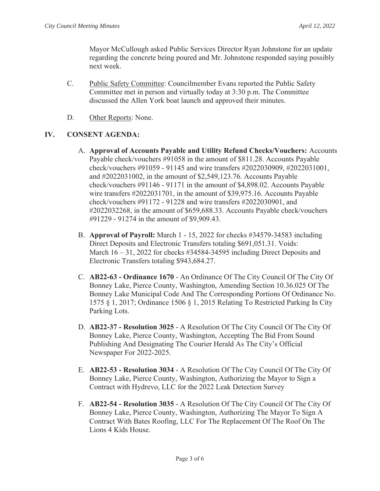Mayor McCullough asked Public Services Director Ryan Johnstone for an update regarding the concrete being poured and Mr. Johnstone responded saying possibly next week.

- C. Public Safety Committee: Councilmember Evans reported the Public Safety Committee met in person and virtually today at 3:30 p.m. The Committee discussed the Allen York boat launch and approved their minutes.
- D. Other Reports: None.

## **IV. CONSENT AGENDA:**

- A. **Approval of Accounts Payable and Utility Refund Checks/Vouchers:** Accounts Payable check/vouchers #91058 in the amount of \$811.28. Accounts Payable check/vouchers #91059 - 91145 and wire transfers #2022030909, #2022031001, and #2022031002, in the amount of \$2,549,123.76. Accounts Payable check/vouchers #91146 - 91171 in the amount of \$4,898.02. Accounts Payable wire transfers #2022031701, in the amount of \$39,975.16. Accounts Payable check/vouchers #91172 - 91228 and wire transfers #2022030901, and #2022032268, in the amount of \$659,688.33. Accounts Payable check/vouchers #91229 - 91274 in the amount of \$9,909.43.
- B. **Approval of Payroll:** March 1 15, 2022 for checks #34579-34583 including Direct Deposits and Electronic Transfers totaling \$691,051.31. Voids: March  $16 - 31$ , 2022 for checks #34584-34595 including Direct Deposits and Electronic Transfers totaling \$943,684.27.
- C. **AB22-63 Ordinance 1670** An Ordinance Of The City Council Of The City Of Bonney Lake, Pierce County, Washington, Amending Section 10.36.025 Of The Bonney Lake Municipal Code And The Corresponding Portions Of Ordinance No. 1575 § 1, 2017; Ordinance 1506 § 1, 2015 Relating To Restricted Parking In City Parking Lots.
- D. **AB22-37 Resolution 3025** A Resolution Of The City Council Of The City Of Bonney Lake, Pierce County, Washington, Accepting The Bid From Sound Publishing And Designating The Courier Herald As The City's Official Newspaper For 2022-2025.
- E. **AB22-53 Resolution 3034** A Resolution Of The City Council Of The City Of Bonney Lake, Pierce County, Washington, Authorizing the Mayor to Sign a Contract with Hydrevo, LLC for the 2022 Leak Detection Survey
- F. **AB22-54 Resolution 3035** A Resolution Of The City Council Of The City Of Bonney Lake, Pierce County, Washington, Authorizing The Mayor To Sign A Contract With Bates Roofing, LLC For The Replacement Of The Roof On The Lions 4 Kids House.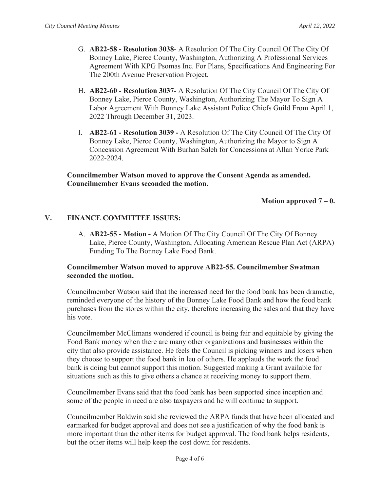- G. **AB22-58 Resolution 3038** A Resolution Of The City Council Of The City Of Bonney Lake, Pierce County, Washington, Authorizing A Professional Services Agreement With KPG Psomas Inc. For Plans, Specifications And Engineering For The 200th Avenue Preservation Project.
- H. **AB22-60 Resolution 3037-** A Resolution Of The City Council Of The City Of Bonney Lake, Pierce County, Washington, Authorizing The Mayor To Sign A Labor Agreement With Bonney Lake Assistant Police Chiefs Guild From April 1, 2022 Through December 31, 2023.
- I. **AB22**-**61 Resolution 3039 -** A Resolution Of The City Council Of The City Of Bonney Lake, Pierce County, Washington, Authorizing the Mayor to Sign A Concession Agreement With Burhan Saleh for Concessions at Allan Yorke Park 2022-2024.

**Councilmember Watson moved to approve the Consent Agenda as amended. Councilmember Evans seconded the motion.**

**Motion approved**  $7 - 0$ **.** 

## **V. FINANCE COMMITTEE ISSUES:**

A. **AB22-55 - Motion -** A Motion Of The City Council Of The City Of Bonney Lake, Pierce County, Washington, Allocating American Rescue Plan Act (ARPA) Funding To The Bonney Lake Food Bank.

#### **Councilmember Watson moved to approve AB22-55. Councilmember Swatman seconded the motion.**

Councilmember Watson said that the increased need for the food bank has been dramatic, reminded everyone of the history of the Bonney Lake Food Bank and how the food bank purchases from the stores within the city, therefore increasing the sales and that they have his vote.

Councilmember McClimans wondered if council is being fair and equitable by giving the Food Bank money when there are many other organizations and businesses within the city that also provide assistance. He feels the Council is picking winners and losers when they choose to support the food bank in leu of others. He applauds the work the food bank is doing but cannot support this motion. Suggested making a Grant available for situations such as this to give others a chance at receiving money to support them.

Councilmember Evans said that the food bank has been supported since inception and some of the people in need are also taxpayers and he will continue to support.

Councilmember Baldwin said she reviewed the ARPA funds that have been allocated and earmarked for budget approval and does not see a justification of why the food bank is more important than the other items for budget approval. The food bank helps residents, but the other items will help keep the cost down for residents.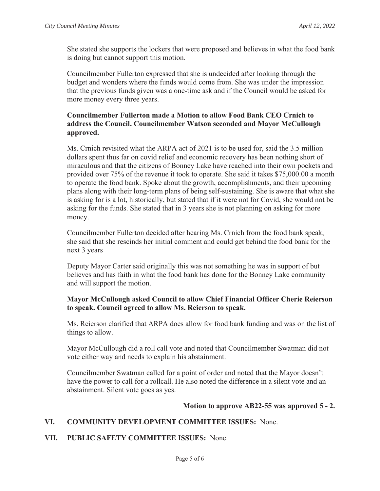She stated she supports the lockers that were proposed and believes in what the food bank is doing but cannot support this motion.

Councilmember Fullerton expressed that she is undecided after looking through the budget and wonders where the funds would come from. She was under the impression that the previous funds given was a one-time ask and if the Council would be asked for more money every three years.

## **Councilmember Fullerton made a Motion to allow Food Bank CEO Crnich to address the Council. Councilmember Watson seconded and Mayor McCullough approved.**

Ms. Crnich revisited what the ARPA act of 2021 is to be used for, said the 3.5 million dollars spent thus far on covid relief and economic recovery has been nothing short of miraculous and that the citizens of Bonney Lake have reached into their own pockets and provided over 75% of the revenue it took to operate. She said it takes \$75,000.00 a month to operate the food bank. Spoke about the growth, accomplishments, and their upcoming plans along with their long-term plans of being self-sustaining. She is aware that what she is asking for is a lot, historically, but stated that if it were not for Covid, she would not be asking for the funds. She stated that in 3 years she is not planning on asking for more money.

Councilmember Fullerton decided after hearing Ms. Crnich from the food bank speak, she said that she rescinds her initial comment and could get behind the food bank for the next 3 years

Deputy Mayor Carter said originally this was not something he was in support of but believes and has faith in what the food bank has done for the Bonney Lake community and will support the motion.

#### **Mayor McCullough asked Council to allow Chief Financial Officer Cherie Reierson to speak. Council agreed to allow Ms. Reierson to speak.**

Ms. Reierson clarified that ARPA does allow for food bank funding and was on the list of things to allow.

Mayor McCullough did a roll call vote and noted that Councilmember Swatman did not vote either way and needs to explain his abstainment.

Councilmember Swatman called for a point of order and noted that the Mayor doesn't have the power to call for a rollcall. He also noted the difference in a silent vote and an abstainment. Silent vote goes as yes.

## **Motion to approve AB22-55 was approved 5 - 2.**

# **VI. COMMUNITY DEVELOPMENT COMMITTEE ISSUES:** None.

## **VII. PUBLIC SAFETY COMMITTEE ISSUES:** None.